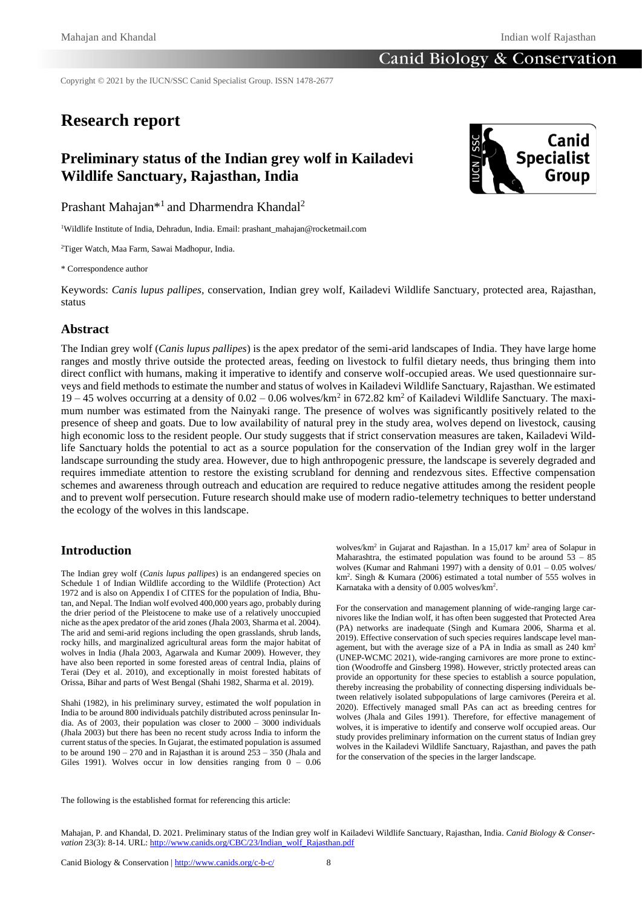## Canid Biology & Conservation

Copyright © 2021 by the IUCN/SSC Canid Specialist Group. ISSN 1478-2677

# **Research report**

# **Preliminary status of the Indian grey wolf in Kailadevi Wildlife Sanctuary, Rajasthan, India**



Prashant Mahajan<sup>\*1</sup> and Dharmendra Khandal<sup>2</sup>

<sup>1</sup>Wildlife Institute of India, Dehradun, India. Email: prashant\_mahajan@rocketmail.com

<sup>2</sup>Tiger Watch, Maa Farm, Sawai Madhopur, India.

\* Correspondence author

Keywords: *Canis lupus pallipes,* conservation, Indian grey wolf, Kailadevi Wildlife Sanctuary, protected area, Rajasthan, status

### **Abstract**

The Indian grey wolf (*Canis lupus pallipes*) is the apex predator of the semi-arid landscapes of India. They have large home ranges and mostly thrive outside the protected areas, feeding on livestock to fulfil dietary needs, thus bringing them into direct conflict with humans, making it imperative to identify and conserve wolf-occupied areas. We used questionnaire surveys and field methods to estimate the number and status of wolves in Kailadevi Wildlife Sanctuary, Rajasthan. We estimated 19 – 45 wolves occurring at a density of  $0.02 - 0.06$  wolves/km<sup>2</sup> in 672.82 km<sup>2</sup> of Kailadevi Wildlife Sanctuary. The maximum number was estimated from the Nainyaki range. The presence of wolves was significantly positively related to the presence of sheep and goats. Due to low availability of natural prey in the study area, wolves depend on livestock, causing high economic loss to the resident people. Our study suggests that if strict conservation measures are taken, Kailadevi Wildlife Sanctuary holds the potential to act as a source population for the conservation of the Indian grey wolf in the larger landscape surrounding the study area. However, due to high anthropogenic pressure, the landscape is severely degraded and requires immediate attention to restore the existing scrubland for denning and rendezvous sites. Effective compensation schemes and awareness through outreach and education are required to reduce negative attitudes among the resident people and to prevent wolf persecution. Future research should make use of modern radio-telemetry techniques to better understand the ecology of the wolves in this landscape.

## **Introduction**

The Indian grey wolf (*Canis lupus pallipes*) is an endangered species on Schedule 1 of Indian Wildlife according to the Wildlife (Protection) Act 1972 and is also on Appendix I of CITES for the population of India, Bhutan, and Nepal. The Indian wolf evolved 400,000 years ago, probably during the drier period of the Pleistocene to make use of a relatively unoccupied niche as the apex predator of the arid zones (Jhala 2003, Sharma et al. 2004). The arid and semi-arid regions including the open grasslands, shrub lands, rocky hills, and marginalized agricultural areas form the major habitat of wolves in India (Jhala 2003, Agarwala and Kumar 2009). However, they have also been reported in some forested areas of central India, plains of Terai (Dey et al. 2010), and exceptionally in moist forested habitats of Orissa, Bihar and parts of West Bengal (Shahi 1982, Sharma et al. 2019).

Shahi (1982), in his preliminary survey, estimated the wolf population in India to be around 800 individuals patchily distributed across peninsular India. As of 2003, their population was closer to 2000 – 3000 individuals (Jhala 2003) but there has been no recent study across India to inform the current status of the species. In Gujarat, the estimated population is assumed to be around  $190 - 270$  and in Rajasthan it is around  $253 - 350$  (Jhala and Giles 1991). Wolves occur in low densities ranging from 0 – 0.06

wolves/km<sup>2</sup> in Gujarat and Rajasthan. In a 15,017 km<sup>2</sup> area of Solapur in Maharashtra, the estimated population was found to be around 53 – 85 wolves (Kumar and Rahmani 1997) with a density of  $0.01 - 0.05$  wolves/ km<sup>2</sup> . Singh & Kumara (2006) estimated a total number of 555 wolves in Karnataka with a density of 0.005 wolves/km<sup>2</sup> .

For the conservation and management planning of wide-ranging large carnivores like the Indian wolf, it has often been suggested that Protected Area (PA) networks are inadequate (Singh and Kumara 2006, Sharma et al. 2019). Effective conservation of such species requires landscape level management, but with the average size of a PA in India as small as  $240 \text{ km}^2$ (UNEP-WCMC 2021), wide-ranging carnivores are more prone to extinction (Woodroffe and Ginsberg 1998). However, strictly protected areas can provide an opportunity for these species to establish a source population, thereby increasing the probability of connecting dispersing individuals between relatively isolated subpopulations of large carnivores (Pereira et al. 2020). Effectively managed small PAs can act as breeding centres for wolves (Jhala and Giles 1991). Therefore, for effective management of wolves, it is imperative to identify and conserve wolf occupied areas. Our study provides preliminary information on the current status of Indian grey wolves in the Kailadevi Wildlife Sanctuary, Rajasthan, and paves the path for the conservation of the species in the larger landscape.

The following is the established format for referencing this article:

Mahajan, P. and Khandal, D. 2021. Preliminary status of the Indian grey wolf in Kailadevi Wildlife Sanctuary, Rajasthan, India. *Canid Biology & Conser*vation 23(3): 8-14. URL: http://www.canids.org/CBC/23/Indian\_wolf\_Rajasthan.pdf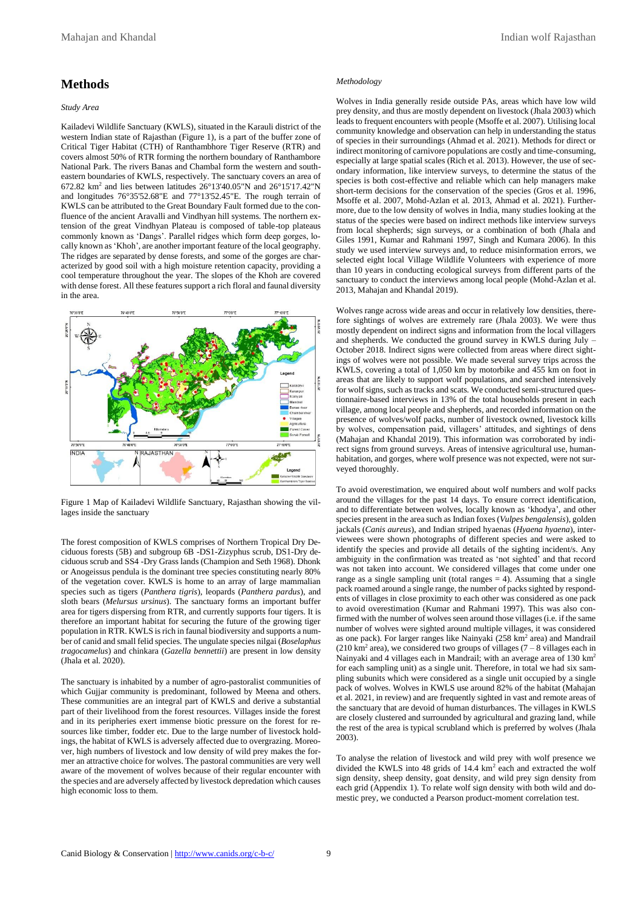# **Methods**

#### *Study Area*

Kailadevi Wildlife Sanctuary (KWLS), situated in the Karauli district of the western Indian state of Rajasthan (Figure 1), is a part of the buffer zone of Critical Tiger Habitat (CTH) of Ranthambhore Tiger Reserve (RTR) and covers almost 50% of RTR forming the northern boundary of Ranthambore National Park. The rivers Banas and Chambal form the western and southeastern boundaries of KWLS, respectively. The sanctuary covers an area of 672.82 km<sup>2</sup> and lies between latitudes 26°13'40.05"N and 26°15'17.42"N and longitudes 76°35'52.68"E and 77°13'52.45"E. The rough terrain of KWLS can be attributed to the Great Boundary Fault formed due to the confluence of the ancient Aravalli and Vindhyan hill systems. The northern extension of the great Vindhyan Plateau is composed of table-top plateaus commonly known as 'Dangs'. Parallel ridges which form deep gorges, locally known as 'Khoh', are another important feature of the local geography. The ridges are separated by dense forests, and some of the gorges are characterized by good soil with a high moisture retention capacity, providing a cool temperature throughout the year. The slopes of the Khoh are covered with dense forest. All these features support a rich floral and faunal diversity in the area.



Figure 1 Map of Kailadevi Wildlife Sanctuary, Rajasthan showing the villages inside the sanctuary

The forest composition of KWLS comprises of Northern Tropical Dry Deciduous forests (5B) and subgroup 6B -DS1-Zizyphus scrub, DS1-Dry deciduous scrub and SS4 -Dry Grass lands (Champion and Seth 1968). Dhonk or Anogeissus pendula is the dominant tree species constituting nearly 80% of the vegetation cover. KWLS is home to an array of large mammalian species such as tigers (*Panthera tigris*), leopards (*Panthera pardus*), and sloth bears (*Melursus ursinus*). The sanctuary forms an important buffer area for tigers dispersing from RTR, and currently supports four tigers. It is therefore an important habitat for securing the future of the growing tiger population in RTR. KWLS is rich in faunal biodiversity and supports a number of canid and small felid species. The ungulate species nilgai (*Boselaphus tragocamelus*) and chinkara (*Gazella bennettii*) are present in low density (Jhala et al. 2020).

The sanctuary is inhabited by a number of agro-pastoralist communities of which Gujjar community is predominant, followed by Meena and others. These communities are an integral part of KWLS and derive a substantial part of their livelihood from the forest resources. Villages inside the forest and in its peripheries exert immense biotic pressure on the forest for resources like timber, fodder etc. Due to the large number of livestock holdings, the habitat of KWLS is adversely affected due to overgrazing. Moreover, high numbers of livestock and low density of wild prey makes the former an attractive choice for wolves. The pastoral communities are very well aware of the movement of wolves because of their regular encounter with the species and are adversely affected by livestock depredation which causes high economic loss to them.

#### *Methodology*

Wolves in India generally reside outside PAs, areas which have low wild prey density, and thus are mostly dependent on livestock (Jhala 2003) which leads to frequent encounters with people (Msoffe et al. 2007). Utilising local community knowledge and observation can help in understanding the status of species in their surroundings (Ahmad et al. 2021). Methods for direct or indirect monitoring of carnivore populations are costly and time-consuming, especially at large spatial scales (Rich et al. 2013). However, the use of secondary information, like interview surveys, to determine the status of the species is both cost-effective and reliable which can help managers make short-term decisions for the conservation of the species (Gros et al. 1996, Msoffe et al. 2007, Mohd-Azlan et al. 2013, Ahmad et al. 2021). Furthermore, due to the low density of wolves in India, many studies looking at the status of the species were based on indirect methods like interview surveys from local shepherds; sign surveys, or a combination of both (Jhala and Giles 1991, Kumar and Rahmani 1997, Singh and Kumara 2006). In this study we used interview surveys and, to reduce misinformation errors, we selected eight local Village Wildlife Volunteers with experience of more than 10 years in conducting ecological surveys from different parts of the sanctuary to conduct the interviews among local people (Mohd-Azlan et al. 2013, Mahajan and Khandal 2019).

Wolves range across wide areas and occur in relatively low densities, therefore sightings of wolves are extremely rare (Jhala 2003). We were thus mostly dependent on indirect signs and information from the local villagers and shepherds. We conducted the ground survey in KWLS during July – October 2018. Indirect signs were collected from areas where direct sightings of wolves were not possible. We made several survey trips across the KWLS, covering a total of 1,050 km by motorbike and 455 km on foot in areas that are likely to support wolf populations, and searched intensively for wolf signs, such as tracks and scats. We conducted semi-structured questionnaire-based interviews in 13% of the total households present in each village, among local people and shepherds, and recorded information on the presence of wolves/wolf packs, number of livestock owned, livestock kills by wolves, compensation paid, villagers' attitudes, and sightings of dens (Mahajan and Khandal 2019). This information was corroborated by indirect signs from ground surveys. Areas of intensive agricultural use, humanhabitation, and gorges, where wolf presence was not expected, were not surveyed thoroughly.

To avoid overestimation, we enquired about wolf numbers and wolf packs around the villages for the past 14 days. To ensure correct identification, and to differentiate between wolves, locally known as 'khodya', and other species present in the area such as Indian foxes(*Vulpes bengalensis*), golden jackals (*Canis aureus*), and Indian striped hyaenas (*Hyaena hyaena*), interviewees were shown photographs of different species and were asked to identify the species and provide all details of the sighting incident/s. Any ambiguity in the confirmation was treated as 'not sighted' and that record was not taken into account. We considered villages that come under one range as a single sampling unit (total ranges  $= 4$ ). Assuming that a single pack roamed around a single range, the number of packs sighted by respondents of villages in close proximity to each other was considered as one pack to avoid overestimation (Kumar and Rahmani 1997). This was also confirmed with the number of wolves seen around those villages (i.e. if the same number of wolves were sighted around multiple villages, it was considered as one pack). For larger ranges like Nainyaki (258 km<sup>2</sup> area) and Mandrail  $(210 \text{ km}^2 \text{ area})$ , we considered two groups of villages  $(7 - 8 \text{ villages each in})$ Nainyaki and 4 villages each in Mandrail; with an average area of 130 km<sup>2</sup> for each sampling unit) as a single unit. Therefore, in total we had six sampling subunits which were considered as a single unit occupied by a single pack of wolves. Wolves in KWLS use around 82% of the habitat (Mahajan et al. 2021, in review) and are frequently sighted in vast and remote areas of the sanctuary that are devoid of human disturbances. The villages in KWLS are closely clustered and surrounded by agricultural and grazing land, while the rest of the area is typical scrubland which is preferred by wolves (Jhala 2003).

To analyse the relation of livestock and wild prey with wolf presence we divided the KWLS into 48 grids of 14.4 km<sup>2</sup> each and extracted the wolf sign density, sheep density, goat density, and wild prey sign density from each grid (Appendix 1). To relate wolf sign density with both wild and domestic prey, we conducted a Pearson product-moment correlation test.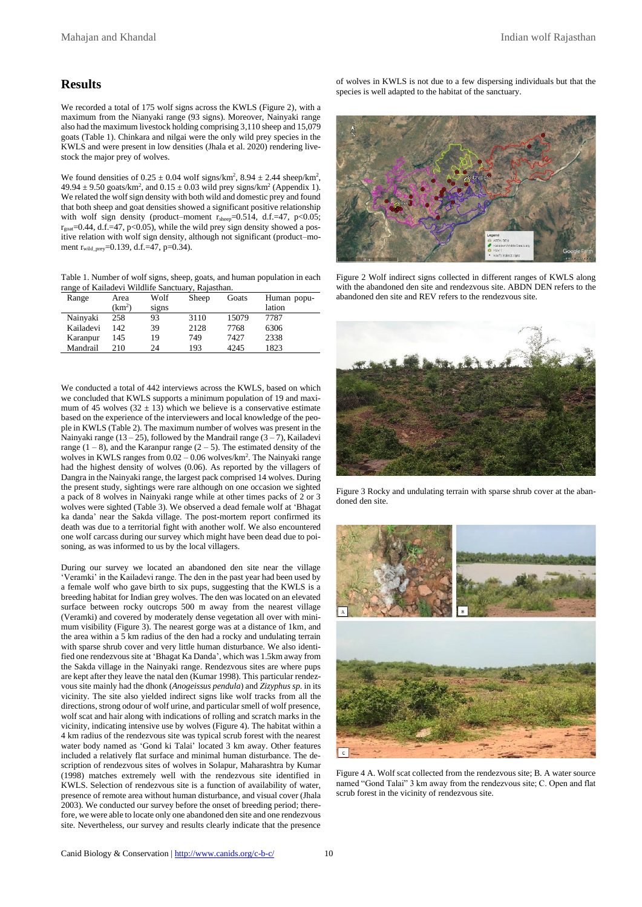### **Results**

We recorded a total of 175 wolf signs across the KWLS (Figure 2), with a maximum from the Nianyaki range (93 signs). Moreover, Nainyaki range also had the maximum livestock holding comprising 3,110 sheep and 15,079 goats (Table 1). Chinkara and nilgai were the only wild prey species in the KWLS and were present in low densities (Jhala et al. 2020) rendering livestock the major prey of wolves.

We found densities of  $0.25 \pm 0.04$  wolf signs/km<sup>2</sup>,  $8.94 \pm 2.44$  sheep/km<sup>2</sup>,  $49.94 \pm 9.50$  goats/km<sup>2</sup>, and  $0.15 \pm 0.03$  wild prey signs/km<sup>2</sup> (Appendix 1). We related the wolf sign density with both wild and domestic prey and found that both sheep and goat densities showed a significant positive relationship with wolf sign density (product–moment  $r_{\text{sheep}}$ =0.514, d.f.=47, p<0.05;  $r_{\text{goal}}$ =0.44, d.f.=47, p<0.05), while the wild prey sign density showed a positive relation with wolf sign density, although not significant (product–moment r<sub>wild\_prey</sub>=0.139, d.f.=47, p=0.34).

Table 1. Number of wolf signs, sheep, goats, and human population in each range of Kailadevi Wildlife Sanctuary, Rajasthan.

| Range     | Area               | Wolf  | Sheep | Goats | Human popu- |
|-----------|--------------------|-------|-------|-------|-------------|
|           | (km <sup>2</sup> ) | signs |       |       | lation      |
| Nainyaki  | 258                | 93    | 3110  | 15079 | 7787        |
| Kailadevi | 142                | 39    | 2128  | 7768  | 6306        |
| Karanpur  | 145                | 19    | 749   | 7427  | 2338        |
| Mandrail  | 210                | 24    | 193   | 4245  | 1823        |

We conducted a total of 442 interviews across the KWLS, based on which we concluded that KWLS supports a minimum population of 19 and maximum of 45 wolves  $(32 \pm 13)$  which we believe is a conservative estimate based on the experience of the interviewers and local knowledge of the people in KWLS (Table 2). The maximum number of wolves was present in the Nainyaki range (13 – 25), followed by the Mandrail range  $(3 - 7)$ , Kailadevi range  $(1 - 8)$ , and the Karanpur range  $(2 - 5)$ . The estimated density of the wolves in KWLS ranges from  $0.02 - 0.06$  wolves/km<sup>2</sup>. The Nainyaki range had the highest density of wolves (0.06). As reported by the villagers of Dangra in the Nainyaki range, the largest pack comprised 14 wolves. During the present study, sightings were rare although on one occasion we sighted a pack of 8 wolves in Nainyaki range while at other times packs of 2 or 3 wolves were sighted (Table 3). We observed a dead female wolf at 'Bhagat ka danda' near the Sakda village. The post-mortem report confirmed its death was due to a territorial fight with another wolf. We also encountered one wolf carcass during our survey which might have been dead due to poisoning, as was informed to us by the local villagers.

During our survey we located an abandoned den site near the village 'Veramki' in the Kailadevi range. The den in the past year had been used by a female wolf who gave birth to six pups, suggesting that the KWLS is a breeding habitat for Indian grey wolves. The den was located on an elevated surface between rocky outcrops 500 m away from the nearest village (Veramki) and covered by moderately dense vegetation all over with minimum visibility (Figure 3). The nearest gorge was at a distance of 1km, and the area within a 5 km radius of the den had a rocky and undulating terrain with sparse shrub cover and very little human disturbance. We also identified one rendezvous site at 'Bhagat Ka Danda', which was 1.5km away from the Sakda village in the Nainyaki range. Rendezvous sites are where pups are kept after they leave the natal den (Kumar 1998). This particular rendezvous site mainly had the dhonk (*Anogeissus pendula*) and *Zizyphus sp*. in its vicinity. The site also yielded indirect signs like wolf tracks from all the directions, strong odour of wolf urine, and particular smell of wolf presence, wolf scat and hair along with indications of rolling and scratch marks in the vicinity, indicating intensive use by wolves (Figure 4). The habitat within a 4 km radius of the rendezvous site was typical scrub forest with the nearest water body named as 'Gond ki Talai' located 3 km away. Other features included a relatively flat surface and minimal human disturbance. The description of rendezvous sites of wolves in Solapur, Maharashtra by Kumar (1998) matches extremely well with the rendezvous site identified in KWLS. Selection of rendezvous site is a function of availability of water, presence of remote area without human disturbance, and visual cover (Jhala 2003). We conducted our survey before the onset of breeding period; therefore, we were able to locate only one abandoned den site and one rendezvous site. Nevertheless, our survey and results clearly indicate that the presence

of wolves in KWLS is not due to a few dispersing individuals but that the species is well adapted to the habitat of the sanctuary.



Figure 2 Wolf indirect signs collected in different ranges of KWLS along with the abandoned den site and rendezvous site. ABDN DEN refers to the abandoned den site and REV refers to the rendezvous site.



Figure 3 Rocky and undulating terrain with sparse shrub cover at the abandoned den site.



Figure 4 A. Wolf scat collected from the rendezvous site; B. A water source named "Gond Talai" 3 km away from the rendezvous site; C. Open and flat scrub forest in the vicinity of rendezvous site.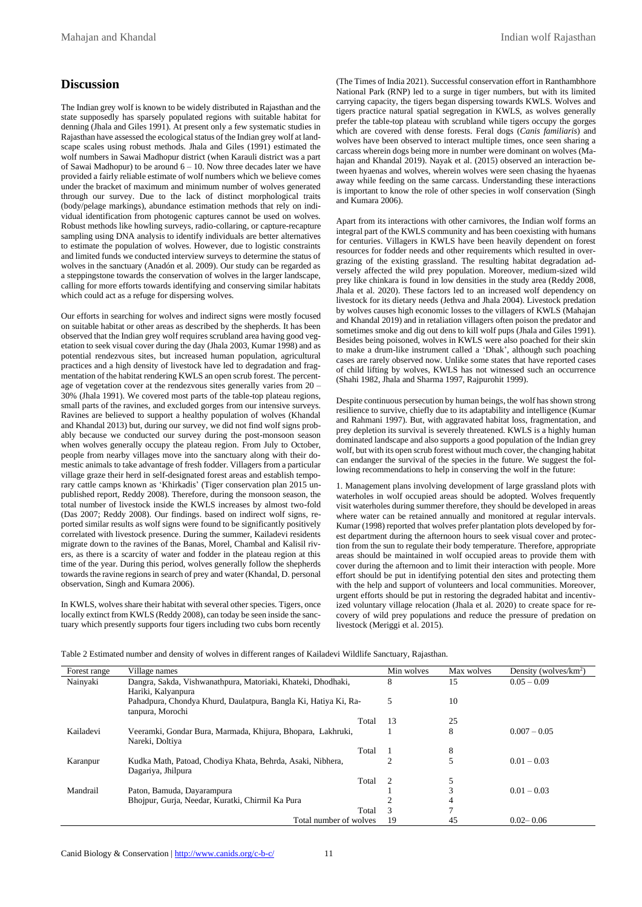# **Discussion**

The Indian grey wolf is known to be widely distributed in Rajasthan and the state supposedly has sparsely populated regions with suitable habitat for denning (Jhala and Giles 1991). At present only a few systematic studies in Rajasthan have assessed the ecological status of the Indian grey wolf at landscape scales using robust methods. Jhala and Giles (1991) estimated the wolf numbers in Sawai Madhopur district (when Karauli district was a part of Sawai Madhopur) to be around  $6 - 10$ . Now three decades later we have provided a fairly reliable estimate of wolf numbers which we believe comes under the bracket of maximum and minimum number of wolves generated through our survey. Due to the lack of distinct morphological traits (body/pelage markings), abundance estimation methods that rely on individual identification from photogenic captures cannot be used on wolves. Robust methods like howling surveys, radio-collaring, or capture-recapture sampling using DNA analysis to identify individuals are better alternatives to estimate the population of wolves. However, due to logistic constraints and limited funds we conducted interview surveys to determine the status of wolves in the sanctuary (Anadón et al. 2009). Our study can be regarded as a steppingstone towards the conservation of wolves in the larger landscape, calling for more efforts towards identifying and conserving similar habitats which could act as a refuge for dispersing wolves.

Our efforts in searching for wolves and indirect signs were mostly focused on suitable habitat or other areas as described by the shepherds. It has been observed that the Indian grey wolf requires scrubland area having good vegetation to seek visual cover during the day (Jhala 2003, Kumar 1998) and as potential rendezvous sites, but increased human population, agricultural practices and a high density of livestock have led to degradation and fragmentation of the habitat rendering KWLS an open scrub forest. The percentage of vegetation cover at the rendezvous sites generally varies from 20 – 30% (Jhala 1991). We covered most parts of the table-top plateau regions, small parts of the ravines, and excluded gorges from our intensive surveys. Ravines are believed to support a healthy population of wolves (Khandal and Khandal 2013) but, during our survey, we did not find wolf signs probably because we conducted our survey during the post-monsoon season when wolves generally occupy the plateau region. From July to October, people from nearby villages move into the sanctuary along with their domestic animals to take advantage of fresh fodder. Villagers from a particular village graze their herd in self-designated forest areas and establish temporary cattle camps known as 'Khirkadis' (Tiger conservation plan 2015 unpublished report, Reddy 2008). Therefore, during the monsoon season, the total number of livestock inside the KWLS increases by almost two-fold (Das 2007; Reddy 2008). Our findings. based on indirect wolf signs, reported similar results as wolf signs were found to be significantly positively correlated with livestock presence. During the summer, Kailadevi residents migrate down to the ravines of the Banas, Morel, Chambal and Kalisil rivers, as there is a scarcity of water and fodder in the plateau region at this time of the year. During this period, wolves generally follow the shepherds towards the ravine regions in search of prey and water (Khandal, D. personal observation, Singh and Kumara 2006).

In KWLS, wolves share their habitat with several other species. Tigers, once locally extinct from KWLS (Reddy 2008), can today be seen inside the sanctuary which presently supports four tigers including two cubs born recently (The Times of India 2021). Successful conservation effort in Ranthambhore National Park (RNP) led to a surge in tiger numbers, but with its limited carrying capacity, the tigers began dispersing towards KWLS. Wolves and tigers practice natural spatial segregation in KWLS, as wolves generally prefer the table-top plateau with scrubland while tigers occupy the gorges which are covered with dense forests. Feral dogs (*Canis familiaris*) and wolves have been observed to interact multiple times, once seen sharing a carcass wherein dogs being more in number were dominant on wolves (Mahajan and Khandal 2019). Nayak et al. (2015) observed an interaction between hyaenas and wolves, wherein wolves were seen chasing the hyaenas away while feeding on the same carcass. Understanding these interactions is important to know the role of other species in wolf conservation (Singh and Kumara 2006).

Apart from its interactions with other carnivores, the Indian wolf forms an integral part of the KWLS community and has been coexisting with humans for centuries. Villagers in KWLS have been heavily dependent on forest resources for fodder needs and other requirements which resulted in overgrazing of the existing grassland. The resulting habitat degradation adversely affected the wild prey population. Moreover, medium-sized wild prey like chinkara is found in low densities in the study area (Reddy 2008, Jhala et al. 2020). These factors led to an increased wolf dependency on livestock for its dietary needs (Jethva and Jhala 2004). Livestock predation by wolves causes high economic losses to the villagers of KWLS (Mahajan and Khandal 2019) and in retaliation villagers often poison the predator and sometimes smoke and dig out dens to kill wolf pups (Jhala and Giles 1991). Besides being poisoned, wolves in KWLS were also poached for their skin to make a drum-like instrument called a 'Dhak', although such poaching cases are rarely observed now. Unlike some states that have reported cases of child lifting by wolves, KWLS has not witnessed such an occurrence (Shahi 1982, Jhala and Sharma 1997, Rajpurohit 1999).

Despite continuous persecution by human beings, the wolf has shown strong resilience to survive, chiefly due to its adaptability and intelligence (Kumar and Rahmani 1997). But, with aggravated habitat loss, fragmentation, and prey depletion its survival is severely threatened. KWLS is a highly human dominated landscape and also supports a good population of the Indian grey wolf, but with its open scrub forest without much cover, the changing habitat can endanger the survival of the species in the future. We suggest the following recommendations to help in conserving the wolf in the future:

1. Management plans involving development of large grassland plots with waterholes in wolf occupied areas should be adopted. Wolves frequently visit waterholes during summer therefore, they should be developed in areas where water can be retained annually and monitored at regular intervals. Kumar (1998) reported that wolves prefer plantation plots developed by forest department during the afternoon hours to seek visual cover and protection from the sun to regulate their body temperature. Therefore, appropriate areas should be maintained in wolf occupied areas to provide them with cover during the afternoon and to limit their interaction with people. More effort should be put in identifying potential den sites and protecting them with the help and support of volunteers and local communities. Moreover, urgent efforts should be put in restoring the degraded habitat and incentivized voluntary village relocation (Jhala et al. 2020) to create space for recovery of wild prey populations and reduce the pressure of predation on livestock (Meriggi et al. 2015).

Table 2 Estimated number and density of wolves in different ranges of Kailadevi Wildlife Sanctuary, Rajasthan.

| Forest range | Village names                                                   | Min wolves | Max wolves   | Density (wolves/ $km^2$ ) |
|--------------|-----------------------------------------------------------------|------------|--------------|---------------------------|
| Nainyaki     | Dangra, Sakda, Vishwanathpura, Matoriaki, Khateki, Dhodhaki,    | 8          | 15           | $0.05 - 0.09$             |
|              | Hariki, Kalyanpura                                              |            |              |                           |
|              | Pahadpura, Chondya Khurd, Daulatpura, Bangla Ki, Hatiya Ki, Ra- | 5          | 10           |                           |
|              | tanpura, Morochi                                                |            |              |                           |
|              | Total                                                           | 13         | 25           |                           |
| Kailadevi    | Veeramki, Gondar Bura, Marmada, Khijura, Bhopara, Lakhruki,     |            | 8            | $0.007 - 0.05$            |
|              | Nareki, Doltiya                                                 |            |              |                           |
|              | Total                                                           |            | 8            |                           |
| Karanpur     | Kudka Math, Patoad, Chodiya Khata, Behrda, Asaki, Nibhera,      |            | 5            | $0.01 - 0.03$             |
|              | Dagariya, Jhilpura                                              |            |              |                           |
|              | Total                                                           | 2          | 5            |                           |
| Mandrail     | Paton, Bamuda, Dayarampura                                      |            | 3            | $0.01 - 0.03$             |
|              | Bhojpur, Gurja, Needar, Kuratki, Chirmil Ka Pura                |            | 4            |                           |
|              | Total                                                           | 3          | $\mathbf{r}$ |                           |
|              | Total number of wolves                                          | 19         | 45           | $0.02 - 0.06$             |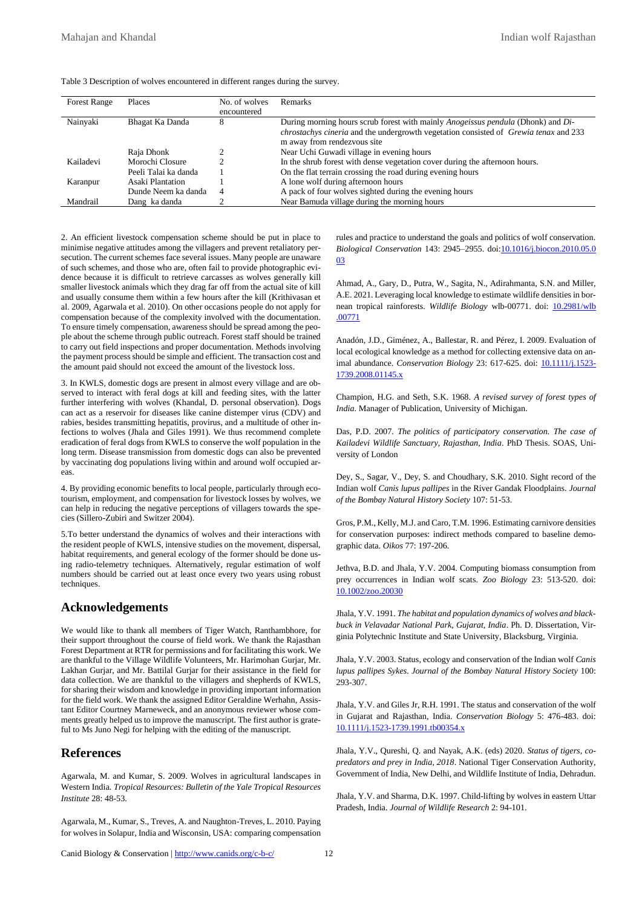|  |  | Table 3 Description of wolves encountered in different ranges during the survey. |  |  |
|--|--|----------------------------------------------------------------------------------|--|--|
|--|--|----------------------------------------------------------------------------------|--|--|

| <b>Forest Range</b> | Places               | No. of wolves<br>encountered | <b>Remarks</b>                                                                                                                                                                                                               |
|---------------------|----------------------|------------------------------|------------------------------------------------------------------------------------------------------------------------------------------------------------------------------------------------------------------------------|
| Nainyaki            | Bhagat Ka Danda      | 8                            | During morning hours scrub forest with mainly <i>Anogeissus pendula</i> (Dhonk) and Di-<br><i>chrostachys cineria</i> and the undergrowth vegetation consisted of <i>Grewia tenax</i> and 233<br>m away from rendezyous site |
|                     | Raja Dhonk           |                              | Near Uchi Guwadi village in evening hours                                                                                                                                                                                    |
| Kailadevi           | Morochi Closure      |                              | In the shrub forest with dense vegetation cover during the afternoon hours.                                                                                                                                                  |
|                     | Peeli Talai ka danda |                              | On the flat terrain crossing the road during evening hours                                                                                                                                                                   |
| Karanpur            | Asaki Plantation     |                              | A lone wolf during afternoon hours                                                                                                                                                                                           |
|                     | Dunde Neem ka danda  | $\overline{4}$               | A pack of four wolves sighted during the evening hours                                                                                                                                                                       |
| Mandrail            | Dang ka danda        |                              | Near Bamuda village during the morning hours                                                                                                                                                                                 |

2. An efficient livestock compensation scheme should be put in place to minimise negative attitudes among the villagers and prevent retaliatory persecution. The current schemes face several issues. Many people are unaware of such schemes, and those who are, often fail to provide photographic evidence because it is difficult to retrieve carcasses as wolves generally kill smaller livestock animals which they drag far off from the actual site of kill and usually consume them within a few hours after the kill (Krithivasan et al. 2009, Agarwala et al. 2010). On other occasions people do not apply for compensation because of the complexity involved with the documentation. To ensure timely compensation, awareness should be spread among the people about the scheme through public outreach. Forest staff should be trained to carry out field inspections and proper documentation. Methods involving the payment process should be simple and efficient. The transaction cost and the amount paid should not exceed the amount of the livestock loss.

3. In KWLS, domestic dogs are present in almost every village and are observed to interact with feral dogs at kill and feeding sites, with the latter further interfering with wolves (Khandal, D. personal observation). Dogs can act as a reservoir for diseases like canine distemper virus (CDV) and rabies, besides transmitting hepatitis, provirus, and a multitude of other infections to wolves (Jhala and Giles 1991). We thus recommend complete eradication of feral dogs from KWLS to conserve the wolf population in the long term. Disease transmission from domestic dogs can also be prevented by vaccinating dog populations living within and around wolf occupied areas.

4. By providing economic benefits to local people, particularly through ecotourism, employment, and compensation for livestock losses by wolves, we can help in reducing the negative perceptions of villagers towards the species (Sillero-Zubiri and Switzer 2004).

5.To better understand the dynamics of wolves and their interactions with the resident people of KWLS, intensive studies on the movement, dispersal, habitat requirements, and general ecology of the former should be done using radio-telemetry techniques. Alternatively, regular estimation of wolf numbers should be carried out at least once every two years using robust techniques.

## **Acknowledgements**

We would like to thank all members of Tiger Watch, Ranthambhore, for their support throughout the course of field work. We thank the Rajasthan Forest Department at RTR for permissions and for facilitating this work. We are thankful to the Village Wildlife Volunteers, Mr. Harimohan Gurjar, Mr. Lakhan Gurjar, and Mr. Battilal Gurjar for their assistance in the field for data collection. We are thankful to the villagers and shepherds of KWLS, for sharing their wisdom and knowledge in providing important information for the field work. We thank the assigned Editor Geraldine Werhahn, Assistant Editor Courtney Marneweck, and an anonymous reviewer whose comments greatly helped us to improve the manuscript. The first author is grateful to Ms Juno Negi for helping with the editing of the manuscript.

## **References**

Agarwala, M. and Kumar, S. 2009. Wolves in agricultural landscapes in Western India. *Tropical Resources: Bulletin of the Yale Tropical Resources Institute* 28: 48-53.

Agarwala, M., Kumar, S., Treves, A. and Naughton-Treves, L. 2010. Paying for wolves in Solapur, India and Wisconsin, USA: comparing compensation rules and practice to understand the goals and politics of wolf conservation. *Biological Conservation* 143: 2945–2955. doi:10.1016/j.biocon.2010.05.0 03

Ahmad, A., Gary, D., Putra, W., Sagita, N., Adirahmanta, S.N. and Miller, A.E. 2021. Leveraging local knowledge to estimate wildlife densities in bornean tropical rainforests. *Wildlife Biology* wlb-00771. doi: **10.2981/wlb** .00771

Anadón, J.D., Giménez, A., Ballestar, R. and Pérez, I. 2009. Evaluation of local ecological knowledge as a method for collecting extensive data on animal abundance. *Conservation Biology* 23: 617-625. doi: 10.1111/j.1523- 1739.2008.01145.x

Champion, H.G. and Seth, S.K. 1968. *A revised survey of forest types of India*. Manager of Publication, University of Michigan.

Das, P.D. 2007. *The politics of participatory conservation. The case of Kailadevi Wildlife Sanctuary, Rajasthan, India*. PhD Thesis. SOAS, University of London

Dey, S., Sagar, V., Dey, S. and Choudhary, S.K. 2010. Sight record of the Indian wolf *Canis lupus pallipes* in the River Gandak Floodplains. *Journal of the Bombay Natural History Society* 107: 51-53.

Gros, P.M., Kelly, M.J. and Caro, T.M. 1996. Estimating carnivore densities for conservation purposes: indirect methods compared to baseline demographic data. *Oikos* 77: 197-206.

Jethva, B.D. and Jhala, Y.V. 2004. Computing biomass consumption from prey occurrences in Indian wolf scats. *Zoo Biology* 23: 513-520. doi: 10.1002/zoo.20030

Jhala, Y.V. 1991. *The habitat and population dynamics of wolves and blackbuck in Velavadar National Park, Gujarat, India*. Ph. D. Dissertation, Virginia Polytechnic Institute and State University, Blacksburg, Virginia.

Jhala, Y.V. 2003. Status, ecology and conservation of the Indian wolf *Canis lupus pallipes Sykes*. *Journal of the Bombay Natural History Society* 100: 293-307.

Jhala, Y.V. and Giles Jr, R.H. 1991. The status and conservation of the wolf in Gujarat and Rajasthan, India. *Conservation Biology* 5: 476-483. doi: 10.1111/j.1523-1739.1991.tb00354.x

Jhala, Y.V., Qureshi, Q. and Nayak, A.K. (eds) 2020. *Status of tigers, copredators and prey in India, 2018*. National Tiger Conservation Authority, Government of India, New Delhi, and Wildlife Institute of India, Dehradun.

Jhala, Y.V. and Sharma, D.K. 1997. Child-lifting by wolves in eastern Uttar Pradesh, India. *Journal of Wildlife Research* 2: 94-101.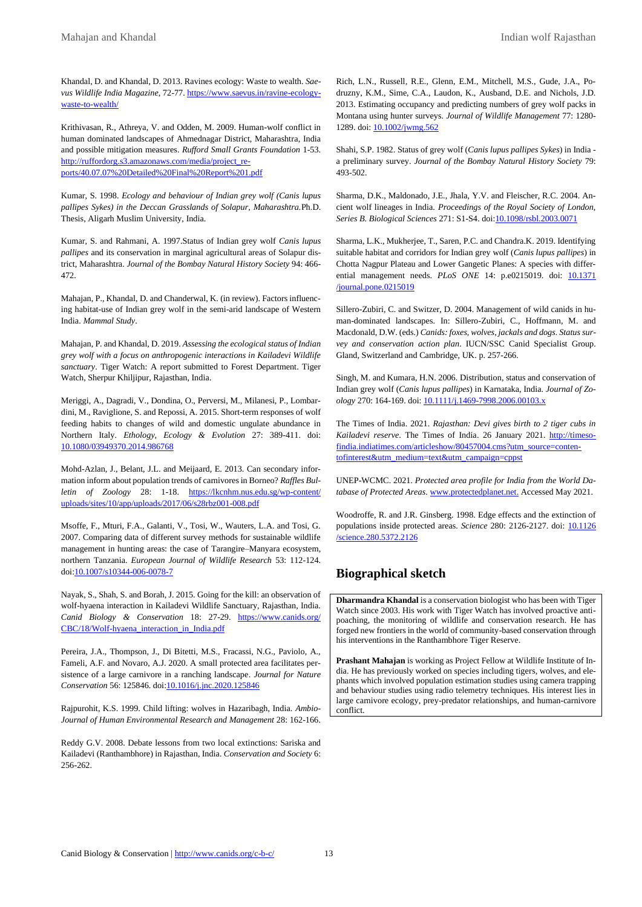Khandal, D. and Khandal, D. 2013. Ravines ecology: Waste to wealth. *Saevus Wildlife India Magazine*, 72-77. https://www.saevus.in/ravine-ecologywaste-to-wealth/

Krithivasan, R., Athreya, V. and Odden, M. 2009. Human-wolf conflict in human dominated landscapes of Ahmednagar District, Maharashtra, India and possible mitigation measures. *Rufford Small Grants Foundation* 1-53. http://ruffordorg.s3.amazonaws.com/media/project\_reports/40.07.07%20Detailed%20Final%20Report%201.pdf

Kumar, S. 1998. *Ecology and behaviour of Indian grey wolf (Canis lupus pallipes Sykes) in the Deccan Grasslands of Solapur, Maharashtra.*Ph.D. Thesis, Aligarh Muslim University, India.

Kumar, S. and Rahmani, A. 1997.Status of Indian grey wolf *Canis lupus pallipes* and its conservation in marginal agricultural areas of Solapur district, Maharashtra. *Journal of the Bombay Natural History Society* 94: 466- 472.

Mahajan, P., Khandal, D. and Chanderwal, K. (in review). Factors influencing habitat-use of Indian grey wolf in the semi-arid landscape of Western India. *Mammal Study*.

Mahajan, P. and Khandal, D. 2019. *Assessing the ecological status of Indian grey wolf with a focus on anthropogenic interactions in Kailadevi Wildlife sanctuary*. Tiger Watch: A report submitted to Forest Department. Tiger Watch, Sherpur Khiljipur, Rajasthan, India.

Meriggi, A., Dagradi, V., Dondina, O., Perversi, M., Milanesi, P., Lombardini, M., Raviglione, S. and Repossi, A. 2015. Short-term responses of wolf feeding habits to changes of wild and domestic ungulate abundance in Northern Italy. *Ethology, Ecology & Evolution* 27: 389-411. doi: 10.1080/03949370.2014.986768

Mohd-Azlan, J., Belant, J.L. and Meijaard, E. 2013. Can secondary information inform about population trends of carnivores in Borneo? *Raffles Bulletin of Zoology* 28: 1-18. https://lkcnhm.nus.edu.sg/wp-content/ uploads/sites/10/app/uploads/2017/06/s28rbz001-008.pdf

Msoffe, F., Mturi, F.A., Galanti, V., Tosi, W., Wauters, L.A. and Tosi, G. 2007. Comparing data of different survey methods for sustainable wildlife management in hunting areas: the case of Tarangire–Manyara ecosystem, northern Tanzania. *European Journal of Wildlife Research* 53: 112-124. doi:10.1007/s10344-006-0078-7

Nayak, S., Shah, S. and Borah, J. 2015. Going for the kill: an observation of wolf-hyaena interaction in Kailadevi Wildlife Sanctuary, Rajasthan, India. *Canid Biology & Conservation* 18: 27-29. https://www.canids.org/ CBC/18/Wolf-hyaena\_interaction\_in\_India.pdf

Pereira, J.A., Thompson, J., Di Bitetti, M.S., Fracassi, N.G., Paviolo, A., Fameli, A.F. and Novaro, A.J. 2020. A small protected area facilitates persistence of a large carnivore in a ranching landscape. *Journal for Nature Conservation* 56: 125846. doi:10.1016/j.jnc.2020.125846

Rajpurohit, K.S. 1999. Child lifting: wolves in Hazaribagh, India. *Ambio-Journal of Human Environmental Research and Management* 28: 162-166.

Reddy G.V. 2008. Debate lessons from two local extinctions: Sariska and Kailadevi (Ranthambhore) in Rajasthan, India. *Conservation and Society* 6: 256-262.

Rich, L.N., Russell, R.E., Glenn, E.M., Mitchell, M.S., Gude, J.A., Podruzny, K.M., Sime, C.A., Laudon, K., Ausband, D.E. and Nichols, J.D. 2013. Estimating occupancy and predicting numbers of grey wolf packs in Montana using hunter surveys. *Journal of Wildlife Management* 77: 1280- 1289. doi: 10.1002/jwmg.562

Shahi, S.P. 1982. Status of grey wolf (*Canis lupus pallipes Sykes*) in India a preliminary survey. *Journal of the Bombay Natural History Society* 79: 493-502.

Sharma, D.K., Maldonado, J.E., Jhala, Y.V. and Fleischer, R.C. 2004. Ancient wolf lineages in India. *Proceedings of the Royal Society of London, Series B. Biological Sciences* 271: S1-S4. doi:10.1098/rsbl.2003.0071

Sharma, L.K., Mukherjee, T., Saren, P.C. and Chandra.K. 2019. Identifying suitable habitat and corridors for Indian grey wolf (*Canis lupus pallipes*) in Chotta Nagpur Plateau and Lower Gangetic Planes: A species with differential management needs. *PLoS ONE* 14: p.e0215019. doi: **10.1371** /journal.pone.0215019

Sillero-Zubiri, C. and Switzer, D. 2004. Management of wild canids in human-dominated landscapes. In: Sillero-Zubiri, C., Hoffmann, M. and Macdonald, D.W. (eds.) *Canids: foxes, wolves, jackals and dogs. Status survey and conservation action plan*. IUCN/SSC Canid Specialist Group. Gland, Switzerland and Cambridge, UK. p. 257-266.

Singh, M. and Kumara, H.N. 2006. Distribution, status and conservation of Indian grey wolf (*Canis lupus pallipes*) in Karnataka, India. *Journal of Zoology* 270: 164-169. doi: 10.1111/j.1469-7998.2006.00103.x

The Times of India. 2021. *Rajasthan: Devi gives birth to 2 tiger cubs in Kailadevi reserve*. The Times of India. 26 January 2021. http://timesofindia.indiatimes.com/articleshow/80457004.cms?utm\_source=contentofinterest&utm\_medium=text&utm\_campaign=cppst

UNEP-WCMC. 2021. *Protected area profile for India from the World Database of Protected Areas*. www.protectedplanet.net. Accessed May 2021.

Woodroffe, R. and J.R. Ginsberg. 1998. Edge effects and the extinction of populations inside protected areas. *Science* 280: 2126-2127. doi: 10.1126 /science.280.5372.2126

# **Biographical sketch**

**Dharmandra Khandal** is a conservation biologist who has been with Tiger Watch since 2003. His work with Tiger Watch has involved proactive antipoaching, the monitoring of wildlife and conservation research. He has forged new frontiers in the world of community-based conservation through his interventions in the Ranthambhore Tiger Reserve.

**Prashant Mahajan** is working as Project Fellow at Wildlife Institute of India. He has previously worked on species including tigers, wolves, and elephants which involved population estimation studies using camera trapping and behaviour studies using radio telemetry techniques. His interest lies in large carnivore ecology, prey-predator relationships, and human-carnivore conflict.